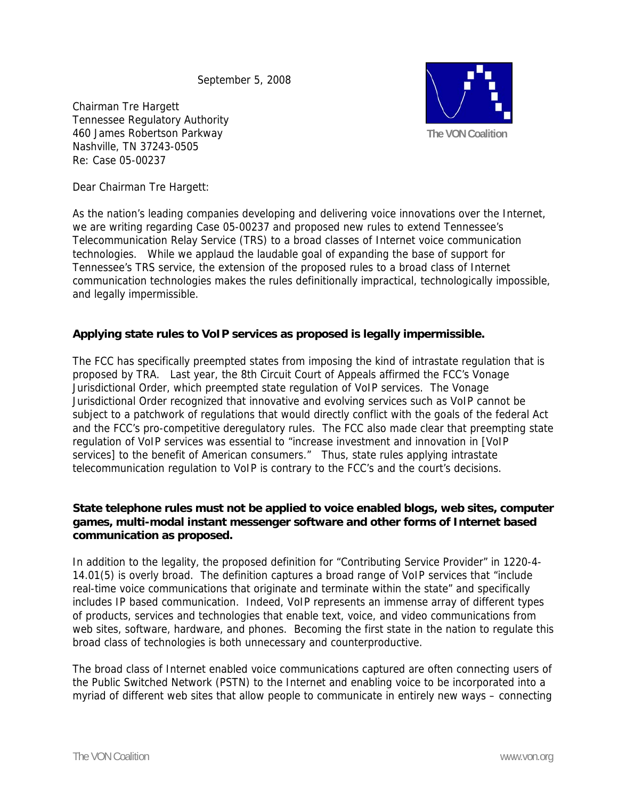September 5, 2008

Chairman Tre Hargett Tennessee Regulatory Authority 460 James Robertson Parkway Nashville, TN 37243-0505 Re: Case 05-00237



Dear Chairman Tre Hargett:

As the nation's leading companies developing and delivering voice innovations over the Internet, we are writing regarding Case 05-00237 and proposed new rules to extend Tennessee's Telecommunication Relay Service (TRS) to a broad classes of Internet voice communication technologies. While we applaud the laudable goal of expanding the base of support for Tennessee's TRS service, the extension of the proposed rules to a broad class of Internet communication technologies makes the rules definitionally impractical, technologically impossible, and legally impermissible.

# **Applying state rules to VoIP services as proposed is legally impermissible.**

The FCC has specifically preempted states from imposing the kind of intrastate regulation that is proposed by TRA. Last year, the 8th Circuit Court of Appeals affirmed the FCC's Vonage Jurisdictional Order, which preempted state regulation of VoIP services. The Vonage Jurisdictional Order recognized that innovative and evolving services such as VoIP cannot be subject to a patchwork of regulations that would directly conflict with the goals of the federal Act and the FCC's pro-competitive deregulatory rules. The FCC also made clear that preempting state regulation of VoIP services was essential to "increase investment and innovation in [VoIP services] to the benefit of American consumers." Thus, state rules applying intrastate telecommunication regulation to VoIP is contrary to the FCC's and the court's decisions.

# **State telephone rules must not be applied to voice enabled blogs, web sites, computer games, multi-modal instant messenger software and other forms of Internet based communication as proposed.**

In addition to the legality, the proposed definition for "Contributing Service Provider" in 1220-4- 14.01(5) is overly broad. The definition captures a broad range of VoIP services that "include real-time voice communications that originate and terminate within the state" and specifically includes IP based communication. Indeed, VoIP represents an immense array of different types of products, services and technologies that enable text, voice, and video communications from web sites, software, hardware, and phones. Becoming the first state in the nation to regulate this broad class of technologies is both unnecessary and counterproductive.

The broad class of Internet enabled voice communications captured are often connecting users of the Public Switched Network (PSTN) to the Internet and enabling voice to be incorporated into a myriad of different web sites that allow people to communicate in entirely new ways – connecting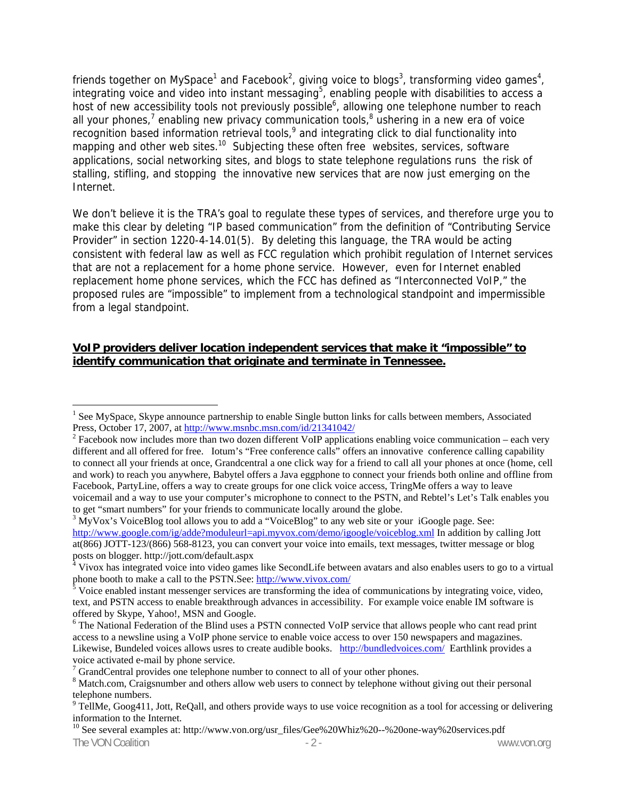friends together on MySpace<sup>1</sup> and Facebook<sup>2</sup>, giving voice to blogs<sup>3</sup>, transforming video games<sup>4</sup>, integrating voice and video into instant messaging<sup>5</sup>, enabling people with disabilities to access a host of new accessibility tools not previously possible<sup>6</sup>, allowing one telephone number to reach all your phones,<sup>7</sup> enabling new privacy communication tools,<sup>8</sup> ushering in a new era of voice recognition based information retrieval tools,  $9$  and integrating click to dial functionality into mapping and other web sites.<sup>10</sup> Subjecting these often free websites, services, software applications, social networking sites, and blogs to state telephone regulations runs the risk of stalling, stifling, and stopping the innovative new services that are now just emerging on the Internet.

We don't believe it is the TRA's goal to regulate these types of services, and therefore urge you to make this clear by deleting "IP based communication" from the definition of "Contributing Service Provider" in section 1220-4-14.01(5). By deleting this language, the TRA would be acting consistent with federal law as well as FCC regulation which prohibit regulation of Internet services that are not a replacement for a home phone service. However, even for Internet enabled replacement home phone services, which the FCC has defined as "Interconnected VoIP," the proposed rules are "impossible" to implement from a technological standpoint and impermissible from a legal standpoint.

#### **VoIP providers deliver location independent services that make it "impossible" to identify communication that originate and terminate in Tennessee.**

 $\overline{a}$ 

<sup>&</sup>lt;sup>1</sup> See MySpace, Skype announce partnership to enable Single button links for calls between members, Associated Press, October 17, 2007, at http://www.msnbc.msn.com/id/21341042/ 2

 $^2$  Facebook now includes more than two dozen different VoIP applications enabling voice communication – each very different and all offered for free. Iotum's "Free conference calls" offers an innovative conference calling capability to connect all your friends at once, Grandcentral a one click way for a friend to call all your phones at once (home, cell and work) to reach you anywhere, Babytel offers a Java eggphone to connect your friends both online and offline from Facebook, PartyLine, offers a way to create groups for one click voice access, TringMe offers a way to leave voicemail and a way to use your computer's microphone to connect to the PSTN, and Rebtel's Let's Talk enables you to get "smart numbers" for your friends to communicate locally around the globe.

 $3$  MyVox's VoiceBlog tool allows you to add a "VoiceBlog" to any web site or your iGoogle page. See: http://www.google.com/ig/adde?moduleurl=api.myvox.com/demo/igoogle/voiceblog.xml In addition by calling Jott at(866) JOTT-123/(866) 568-8123, you can convert your voice into emails, text messages, twitter message or blog

posts on blogger. http://jott.com/default.aspx<br><sup>4</sup> Vivox has integrated voice into video games like SecondLife between avatars and also enables users to go to a virtual phone booth to make a call to the PSTN.See: http://www.vivox.com/

Voice enabled instant messenger services are transforming the idea of communications by integrating voice, video, text, and PSTN access to enable breakthrough advances in accessibility. For example voice enable IM software is offered by Skype, Yahoo!, MSN and Google.

<sup>&</sup>lt;sup>6</sup> The National Federation of the Blind uses a PSTN connected VoIP service that allows people who cant read print access to a newsline using a VoIP phone service to enable voice access to over 150 newspapers and magazines. Likewise, Bundeled voices allows usres to create audible books. http://bundledvoices.com/ Earthlink provides a voice activated e-mail by phone service.

 $^7$  GrandCentral provides one telephone number to connect to all of your other phones.<br><sup>8</sup> Metab com. Graigenumber and others allow web years to connect by telephone without

<sup>&</sup>lt;sup>8</sup> Match.com, Craigsnumber and others allow web users to connect by telephone without giving out their personal telephone numbers.

 $9$  TellMe, Goog411, Jott, ReQall, and others provide ways to use voice recognition as a tool for accessing or delivering information to the Internet.

The VON Coalition  $\overline{a}$  - 2 - www.von.org www.von.org 10 See several examples at: http://www.von.org/usr\_files/Gee%20Whiz%20--%20one-way%20services.pdf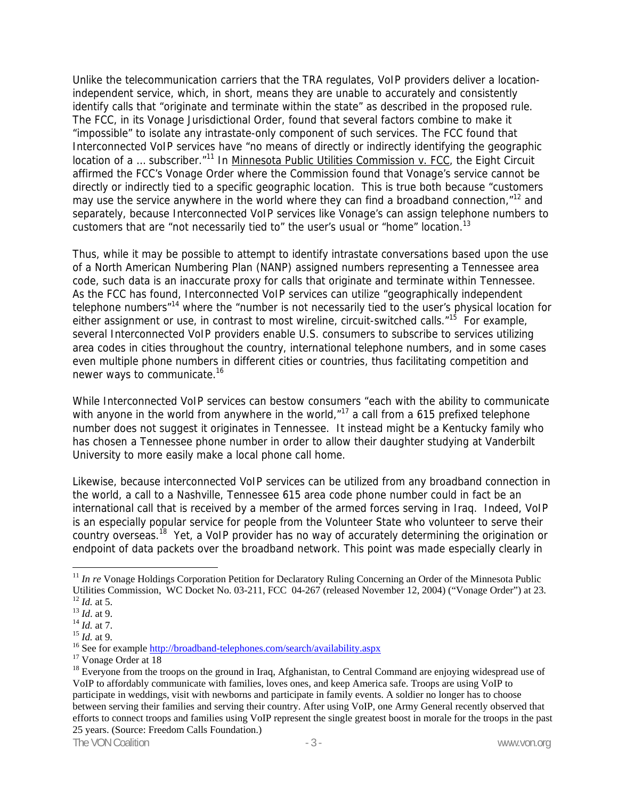Unlike the telecommunication carriers that the TRA regulates, VoIP providers deliver a locationindependent service, which, in short, means they are unable to accurately and consistently identify calls that "originate and terminate within the state" as described in the proposed rule. The FCC, in its Vonage Jurisdictional Order, found that several factors combine to make it "impossible" to isolate any intrastate-only component of such services. The FCC found that Interconnected VoIP services have "no means of directly or indirectly identifying the geographic location of a ... subscriber."<sup>11</sup> In Minnesota Public Utilities Commission v. FCC, the Eight Circuit affirmed the FCC's Vonage Order where the Commission found that Vonage's service cannot be directly or indirectly tied to a specific geographic location. This is true both because "customers may use the service anywhere in the world where they can find a broadband connection,"<sup>12</sup> and separately, because Interconnected VoIP services like Vonage's can assign telephone numbers to customers that are "not necessarily tied to" the user's usual or "home" location.<sup>13</sup>

Thus, while it may be possible to attempt to identify intrastate conversations based upon the use of a North American Numbering Plan (NANP) assigned numbers representing a Tennessee area code, such data is an inaccurate proxy for calls that originate and terminate within Tennessee. As the FCC has found, Interconnected VoIP services can utilize "geographically independent telephone numbers"14 where the "number is not necessarily tied to the user's physical location for either assignment or use, in contrast to most wireline, circuit-switched calls."<sup>15</sup> For example, several Interconnected VoIP providers enable U.S. consumers to subscribe to services utilizing area codes in cities throughout the country, international telephone numbers, and in some cases even multiple phone numbers in different cities or countries, thus facilitating competition and newer ways to communicate.16

While Interconnected VoIP services can bestow consumers "each with the ability to communicate with anyone in the world from anywhere in the world, $n^{17}$  a call from a 615 prefixed telephone number does not suggest it originates in Tennessee. It instead might be a Kentucky family who has chosen a Tennessee phone number in order to allow their daughter studying at Vanderbilt University to more easily make a local phone call home.

Likewise, because interconnected VoIP services can be utilized from any broadband connection in the world, a call to a Nashville, Tennessee 615 area code phone number could in fact be an international call that is received by a member of the armed forces serving in Iraq. Indeed, VoIP is an especially popular service for people from the Volunteer State who volunteer to serve their country overseas.18 Yet, a VoIP provider has no way of accurately determining the origination or endpoint of data packets over the broadband network. This point was made especially clearly in

 $\overline{a}$ 

<sup>&</sup>lt;sup>11</sup> *In re* Vonage Holdings Corporation Petition for Declaratory Ruling Concerning an Order of the Minnesota Public Utilities Commission, WC Docket No. 03-211, FCC 04-267 (released November 12, 2004) ("Vonage Order") at 23.<br><sup>12</sup> *Id.* at 5.<br><sup>13</sup> *Id.* at 9.<br><sup>15</sup> *Id.* at 9.<br><sup>15</sup> *Id.* at 9.<br><sup>15</sup> *Id.* at 9.<br><sup>15</sup> See for example <u>http:/</u>

 $18$  Everyone from the troops on the ground in Iraq, Afghanistan, to Central Command are enjoying widespread use of VoIP to affordably communicate with families, loves ones, and keep America safe. Troops are using VoIP to participate in weddings, visit with newborns and participate in family events. A soldier no longer has to choose between serving their families and serving their country. After using VoIP, one Army General recently observed that efforts to connect troops and families using VoIP represent the single greatest boost in morale for the troops in the past 25 years. (Source: Freedom Calls Foundation.)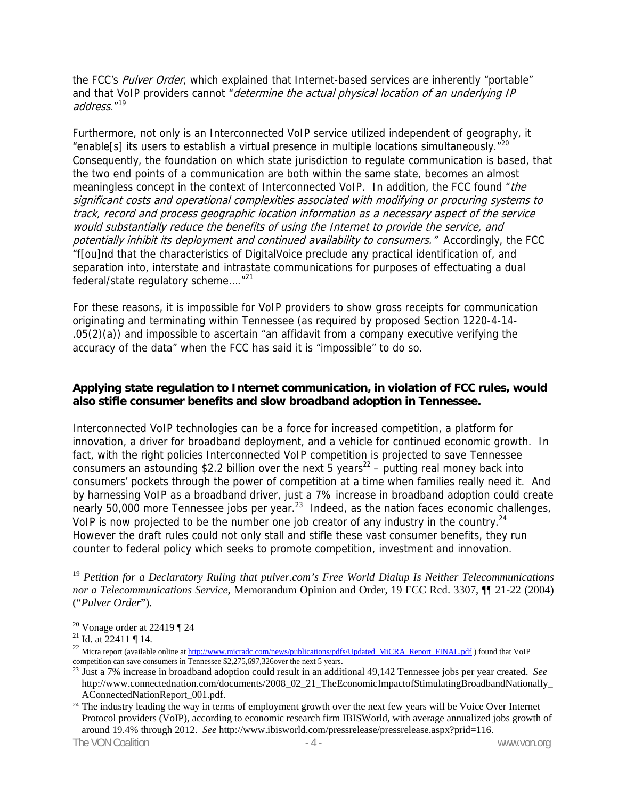the FCC's Pulver Order, which explained that Internet-based services are inherently "portable" and that VoIP providers cannot "determine the actual physical location of an underlying IP address."19

Furthermore, not only is an Interconnected VoIP service utilized independent of geography, it "enable<sup>[s]</sup> its users to establish a virtual presence in multiple locations simultaneously."<sup>20</sup> Consequently, the foundation on which state jurisdiction to regulate communication is based, that the two end points of a communication are both within the same state, becomes an almost meaningless concept in the context of Interconnected VoIP. In addition, the FCC found "the significant costs and operational complexities associated with modifying or procuring systems to track, record and process geographic location information as a necessary aspect of the service would substantially reduce the benefits of using the Internet to provide the service, and potentially inhibit its deployment and continued availability to consumers." Accordingly, the FCC "f[ou]nd that the characteristics of DigitalVoice preclude any practical identification of, and separation into, interstate and intrastate communications for purposes of effectuating a dual federal/state regulatory scheme…."21

For these reasons, it is impossible for VoIP providers to show gross receipts for communication originating and terminating within Tennessee (as required by proposed Section 1220-4-14- .05(2)(a)) and impossible to ascertain "an affidavit from a company executive verifying the accuracy of the data" when the FCC has said it is "impossible" to do so.

## **Applying state regulation to Internet communication, in violation of FCC rules, would also stifle consumer benefits and slow broadband adoption in Tennessee.**

Interconnected VoIP technologies can be a force for increased competition, a platform for innovation, a driver for broadband deployment, and a vehicle for continued economic growth. In fact, with the right policies Interconnected VoIP competition is projected to save Tennessee consumers an astounding \$2.2 billion over the next 5 years<sup>22</sup> – putting real money back into consumers' pockets through the power of competition at a time when families really need it. And by harnessing VoIP as a broadband driver, just a 7% increase in broadband adoption could create nearly 50,000 more Tennessee jobs per year. $^{23}$  Indeed, as the nation faces economic challenges, VoIP is now projected to be the number one job creator of any industry in the country.<sup>24</sup> However the draft rules could not only stall and stifle these vast consumer benefits, they run counter to federal policy which seeks to promote competition, investment and innovation.

 $\overline{a}$ 

The VON Coalition **The VON Coalition**  $-4$  -

<sup>19</sup> *Petition for a Declaratory Ruling that pulver.com's Free World Dialup Is Neither Telecommunications nor a Telecommunications Service*, Memorandum Opinion and Order, 19 FCC Rcd. 3307, ¶¶ 21-22 (2004) ("*Pulver Order*").

<sup>&</sup>lt;sup>20</sup> Vonage order at 22419  $\P$  24

<sup>&</sup>lt;sup>21</sup> Id. at  $22411 \text{ T}$  14.

<sup>&</sup>lt;sup>22</sup> Micra report (available online at http://www.micradc.com/news/publications/pdfs/Updated\_MiCRA\_Report\_FINAL.pdf ) found that VoIP competition can save consumers in Tennessee \$2,275,697,326over the next 5 years.

<sup>23</sup> Just a 7% increase in broadband adoption could result in an additional 49,142 Tennessee jobs per year created. *See*  http://www.connectednation.com/documents/2008\_02\_21\_TheEconomicImpactofStimulatingBroadbandNationally\_ AConnectedNationReport\_001.pdf.

<sup>&</sup>lt;sup>24</sup> The industry leading the way in terms of employment growth over the next few years will be Voice Over Internet Protocol providers (VoIP), according to economic research firm IBISWorld, with average annualized jobs growth of around 19.4% through 2012. *See* http://www.ibisworld.com/pressrelease/pressrelease.aspx?prid=116.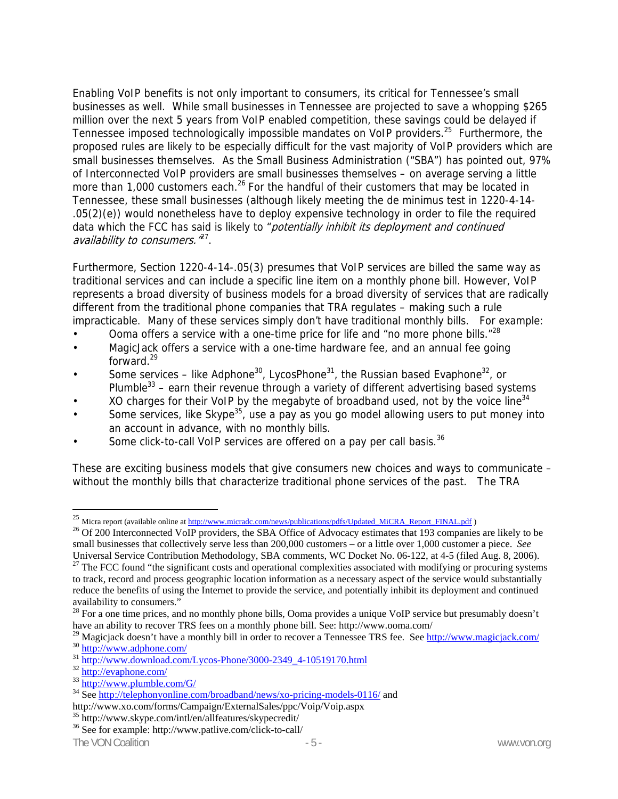Enabling VoIP benefits is not only important to consumers, its critical for Tennessee's small businesses as well. While small businesses in Tennessee are projected to save a whopping \$265 million over the next 5 years from VoIP enabled competition, these savings could be delayed if Tennessee imposed technologically impossible mandates on VoIP providers.25 Furthermore, the proposed rules are likely to be especially difficult for the vast majority of VoIP providers which are small businesses themselves. As the Small Business Administration ("SBA") has pointed out, 97% of Interconnected VoIP providers are small businesses themselves – on average serving a little more than 1,000 customers each.<sup>26</sup> For the handful of their customers that may be located in Tennessee, these small businesses (although likely meeting the de minimus test in 1220-4-14- .05(2)(e)) would nonetheless have to deploy expensive technology in order to file the required data which the FCC has said is likely to "potentially inhibit its deployment and continued availability to consumers.<sup>27</sup>.

Furthermore, Section 1220-4-14-.05(3) presumes that VoIP services are billed the same way as traditional services and can include a specific line item on a monthly phone bill. However, VoIP represents a broad diversity of business models for a broad diversity of services that are radically different from the traditional phone companies that TRA regulates – making such a rule impracticable. Many of these services simply don't have traditional monthly bills. For example:

- Ooma offers a service with a one-time price for life and "no more phone bills."<sup>28</sup>
- MagicJack offers a service with a one-time hardware fee, and an annual fee going forward.29
- Some services like Adphone<sup>30</sup>, LycosPhone<sup>31</sup>, the Russian based Evaphone<sup>32</sup>, or Plumble<sup>33</sup> – earn their revenue through a variety of different advertising based systems
- XO charges for their VoIP by the megabyte of broadband used, not by the voice line  $34$
- Some services, like Skype<sup>35</sup>, use a pay as you go model allowing users to put money into an account in advance, with no monthly bills.
- Some click-to-call VoIP services are offered on a pay per call basis.<sup>36</sup>

These are exciting business models that give consumers new choices and ways to communicate – without the monthly bills that characterize traditional phone services of the past. The TRA

 $\overline{a}$ 

<sup>&</sup>lt;sup>25</sup> Micra report (available online at http://www.micradc.com/news/publications/pdfs/Updated\_MiCRA\_Report\_FINAL.pdf )

<sup>&</sup>lt;sup>26</sup> Of 200 Interconnected VoIP providers, the SBA Office of Advocacy estimates that 193 companies are likely to be small businesses that collectively serve less than 200,000 customers – or a little over 1,000 customer a piece. *See* Universal Service Contribution Methodology, SBA comments, WC Docket No. 06-122, at 4-5 (filed Aug. 8, 2006).

 $27$  The FCC found "the significant costs and operational complexities associated with modifying or procuring systems to track, record and process geographic location information as a necessary aspect of the service would substantially reduce the benefits of using the Internet to provide the service, and potentially inhibit its deployment and continued availability to consumers."

<sup>&</sup>lt;sup>28</sup> For a one time prices, and no monthly phone bills, Ooma provides a unique VoIP service but presumably doesn't have an ability to recover TRS fees on a monthly phone bill. See: http://www.ooma.com/

<sup>&</sup>lt;sup>29</sup> Magicjack doesn't have a monthly bill in order to recover a Tennessee TRS fee. See http://www.magicjack.com/<br><sup>30</sup> http://www.adphone.com/<br><sup>31</sup> http://www.download.com/Lycos-Phone/3000-2349 4-10519170.html<br><sup>32</sup> http:/

http://www.xo.com/forms/Campaign/ExternalSales/ppc/Voip/Voip.aspx

 $35$  http://www.skype.com/intl/en/allfeatures/skypecredit/<br> $36$  See for example: http://www.patlive.com/click-to-call/